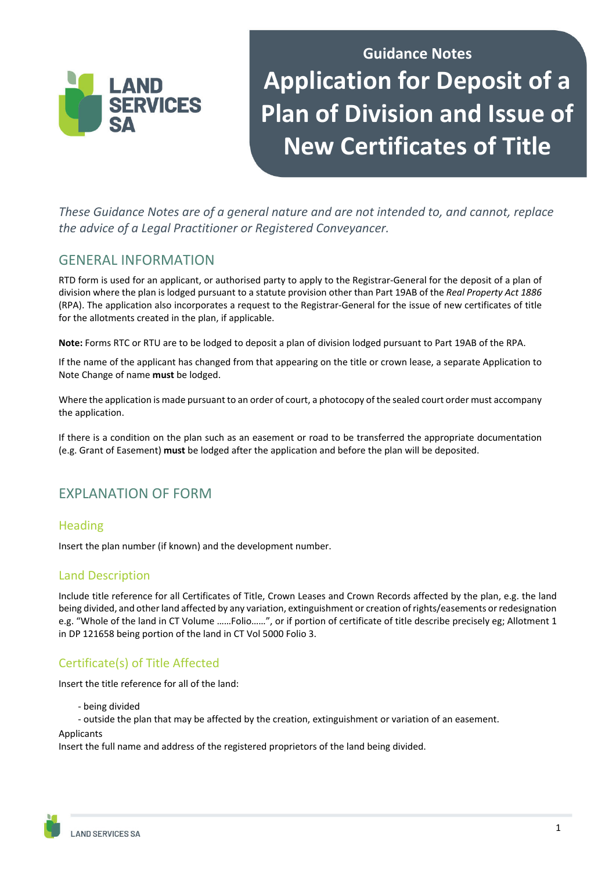# **Guidance Notes Application for Deposit of a Plan of Division and Issue of New Certificates of Title**

*These Guidance Notes are of a general nature and are not intended to, and cannot, replace the advice of a Legal Practitioner or Registered Conveyancer.* 

## GENERAL INFORMATION

LAND

**SFRVICES** 

RTD form is used for an applicant, or authorised party to apply to the Registrar-General for the deposit of a plan of division where the plan is lodged pursuant to a statute provision other than Part 19AB of the *Real Property Act 1886* (RPA). The application also incorporates a request to the Registrar-General for the issue of new certificates of title for the allotments created in the plan, if applicable.

**Note:** Forms RTC or RTU are to be lodged to deposit a plan of division lodged pursuant to Part 19AB of the RPA.

If the name of the applicant has changed from that appearing on the title or crown lease, a separate Application to Note Change of name **must** be lodged.

Where the application is made pursuant to an order of court, a photocopy of the sealed court order must accompany the application.

If there is a condition on the plan such as an easement or road to be transferred the appropriate documentation (e.g. Grant of Easement) **must** be lodged after the application and before the plan will be deposited.

# EXPLANATION OF FORM

## **Heading**

Insert the plan number (if known) and the development number.

## Land Description

Include title reference for all Certificates of Title, Crown Leases and Crown Records affected by the plan, e.g. the land being divided, and other land affected by any variation, extinguishment or creation of rights/easements or redesignation e.g. "Whole of the land in CT Volume ……Folio……", or if portion of certificate of title describe precisely eg; Allotment 1 in DP 121658 being portion of the land in CT Vol 5000 Folio 3.

## Certificate(s) of Title Affected

Insert the title reference for all of the land:

- being divided
- outside the plan that may be affected by the creation, extinguishment or variation of an easement.

#### **Applicants**

Insert the full name and address of the registered proprietors of the land being divided.